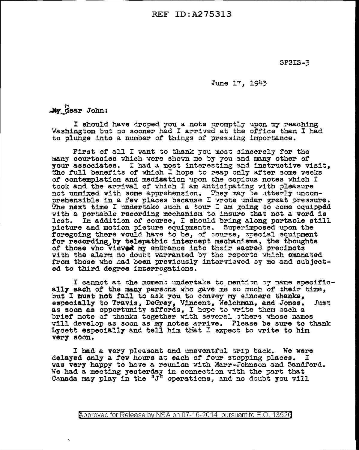**REF ID:A275313** 

**SPSIS-3** 

June 17, 1943

 $\frac{1}{2}$   $\frac{1}{2}$   $\frac{1}{2}$   $\frac{1}{2}$   $\frac{1}{2}$   $\frac{1}{2}$   $\frac{1}{2}$   $\frac{1}{2}$   $\frac{1}{2}$   $\frac{1}{2}$ 

I should have droped you a note promptly upon my reaching Washington but no sooner had I arrived at the office than I had to plunge into a number of things of pressing importance.

First of all I want to thank you most sincerely for the many courtesies which were shown me by you and many other of your associates. I had a most interesting and instructive visit, The full benefits of which I hope to reap only after some weeks of contemplation and medisation upon the copious notes which I took and the arrival of which I am anticipating with pleasure not unmixed with some apprehension. They may be utterly uncomprehensible in a few places because I wrote under great pressure. The next time I undertake such a tour I am going to come equipped with a portable recording mechanism to insure that not a word is In addition of course, I should bring along portable still lost. picture and motion picture equipments. Superimposed upon the foregoing there would have to be, of course, special equipment for recording, by telepathic intercept mechanisms, the thoughts of those who viewed my entrance into their sacred precincts with the alarm no doubt warranted by the reports which emanated from those who had been previously interviewed by me and subjected to third degree interrogations.

I cannot at the moment undertake to mention by name specifically each of the many persons who gave me so much of their time. but I must not fail to ask you to convey my sincere thanks, especially to Travis, DeGrey, Vincent, Welchman, and Jones.<br>as soon as opportunity affords, I hope to write them each a Just brief note of thanks together with several others whose names will develop as soon as my notes arrive. Please be sure to thank Lycett especially and tell him that I expect to write to him very soon.

I had a very pleasant and uneventful trip back. We were delayed only a few hours at each of four stopping places. I was very happy to have a reunion with Marr-Johnson and Sandford. We had a meeting yesterday in connection with the part that Canada may play in the "J" operations, and no doubt you will

Approved for Release by NSA on 07-16-2014 pursuant to E.O. 13520